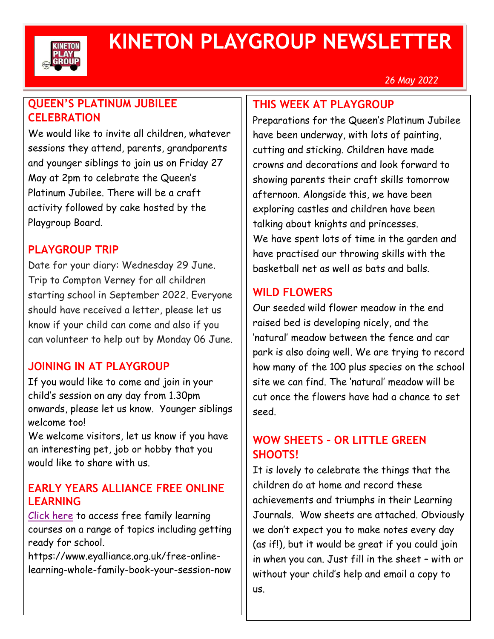

# **KINETON PLAYGROUP NEWSLETTER**

#### *26 May 2022*

# **QUEEN'S PLATINUM JUBILEE CELEBRATION**

We would like to invite all children, whatever sessions they attend, parents, grandparents and younger siblings to join us on Friday 27 May at 2pm to celebrate the Queen's Platinum Jubilee. There will be a craft activity followed by cake hosted by the Playgroup Board.

#### **PLAYGROUP TRIP**

Date for your diary: Wednesday 29 June. Trip to Compton Verney for all children starting school in September 2022. Everyone should have received a letter, please let us know if your child can come and also if you can volunteer to help out by Monday 06 June.

# **JOINING IN AT PLAYGROUP**

If you would like to come and join in your child's session on any day from 1.30pm onwards, please let us know. Younger siblings welcome too!

We welcome visitors, let us know if you have an interesting pet, job or hobby that you would like to share with us.

#### **EARLY YEARS ALLIANCE FREE ONLINE LEARNING**

[Click here](https://www.eyalliance.org.uk/free-online-learning-whole-family-book-your-session-now) to access free family learning courses on a range of topics including getting ready for school.

https://www.eyalliance.org.uk/free-onlinelearning-whole-family-book-your-session-now

#### **THIS WEEK AT PLAYGROUP**

Preparations for the Queen's Platinum Jubilee have been underway, with lots of painting, cutting and sticking. Children have made crowns and decorations and look forward to showing parents their craft skills tomorrow afternoon. Alongside this, we have been exploring castles and children have been talking about knights and princesses. We have spent lots of time in the garden and have practised our throwing skills with the basketball net as well as bats and balls.

#### **WILD FLOWERS**

Our seeded wild flower meadow in the end raised bed is developing nicely, and the 'natural' meadow between the fence and car park is also doing well. We are trying to record how many of the 100 plus species on the school site we can find. The 'natural' meadow will be cut once the flowers have had a chance to set seed.

#### **WOW SHEETS – OR LITTLE GREEN SHOOTS!**

It is lovely to celebrate the things that the children do at home and record these achievements and triumphs in their Learning Journals. Wow sheets are attached. Obviously we don't expect you to make notes every day (as if!), but it would be great if you could join in when you can. Just fill in the sheet – with or without your child's help and email a copy to us.